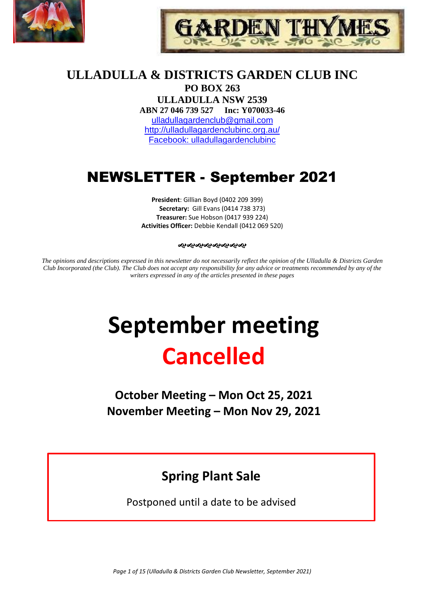



## **ULLADULLA & DISTRICTS GARDEN CLUB INC PO BOX 263**

**ULLADULLA NSW 2539 ABN 27 046 739 527 Inc: Y070033-46**  [ulladullagardenclub@gmail.com](mailto:ulladullagardenclub@gmail.com) <http://ulladullagardenclubinc.org.au/> Facebook: ulladullagardenclubinc

# NEWSLETTER - September 2021

**President**: Gillian Boyd (0402 209 399) **Secretary:** Gill Evans (0414 738 373) **Treasurer:** Sue Hobson (0417 939 224) **Activities Officer:** Debbie Kendall (0412 069 520)

#### જાજાજાજાજાજાજાજા

*The opinions and descriptions expressed in this newsletter do not necessarily reflect the opinion of the Ulladulla & Districts Garden Club Incorporated (the Club). The Club does not accept any responsibility for any advice or treatments recommended by any of the writers expressed in any of the articles presented in these pages*

# **September meeting Cancelled**

**October Meeting – Mon Oct 25, 2021 November Meeting – Mon Nov 29, 2021**

# **Spring Plant Sale**

Postponed until a date to be advised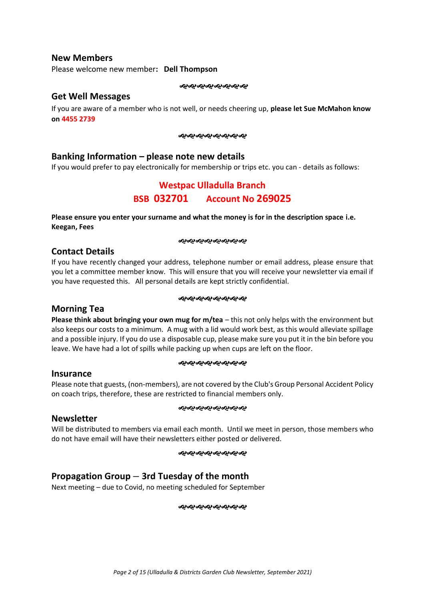#### **New Members**

Please welcome new member**: Dell Thompson**

જાજાજાજાજાજાજાજ

#### **Get Well Messages**

If you are aware of a member who is not well, or needs cheering up, **please let Sue McMahon know on 4455 2739**

જાજાજાજાજાજાજાજા

## **Banking Information – please note new details**

If you would prefer to pay electronically for membership or trips etc. you can - details as follows:

## **Westpac Ulladulla Branch BSB 032701 Account No 269025**

**Please ensure you enter your surname and what the money is for in the description space i.e. Keegan, Fees**

#### જાજાજાજાજાજાજાજા

#### **Contact Details**

If you have recently changed your address, telephone number or email address, please ensure that you let a committee member know. This will ensure that you will receive your newsletter via email if you have requested this. All personal details are kept strictly confidential.

#### ઌ૰ઌ૰ૡ૰ૡ૰ૡ૰ૡ૰ૡ

## **Morning Tea**

**Please think about bringing your own mug for m/tea** – this not only helps with the environment but also keeps our costs to a minimum. A mug with a lid would work best, as this would alleviate spillage and a possible injury. If you do use a disposable cup, please make sure you put it in the bin before you leave. We have had a lot of spills while packing up when cups are left on the floor.

#### ઌ૰ૡ૰ૡ૰ૡ૰ૡ૰ૡ૰ૡ

#### **Insurance**

Please note that guests, (non-members), are not covered by the Club's Group Personal Accident Policy on coach trips, therefore, these are restricted to financial members only.

#### જાજાજાજાજાજાજાજા

#### **Newsletter**

Will be distributed to members via email each month. Until we meet in person, those members who do not have email will have their newsletters either posted or delivered.

#### જાજાજાજાજાજાજાજ

## **Propagation Group – 3rd Tuesday of the month**

Next meeting – due to Covid, no meeting scheduled for September

ઌ૰ઌ૰ઌ૰ઌ૰ઌ૰ઌ૰ઌ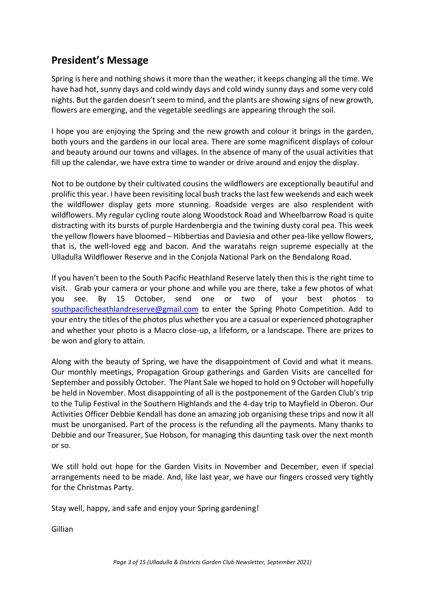# **President's Message**

Spring is here and nothing shows it more than the weather; it keeps changing all the time. We have had hot, sunny days and cold windy days and cold windy sunny days and some very cold nights. But the garden doesn't seem to mind, and the plants are showing signs of new growth, flowers are emerging, and the vegetable seedlings are appearing through the soil.

I hope you are enjoying the Spring and the new growth and colour it brings in the garden, both yours and the gardens in our local area. There are some magnificent displays of colour and beauty around our towns and villages. In the absence of many of the usual activities that fill up the calendar, we have extra time to wander or drive around and enjoy the display.

Not to be outdone by their cultivated cousins the wildflowers are exceptionally beautiful and prolific this year. I have been revisiting local bush tracks the last few weekends and each week the wildflower display gets more stunning. Roadside verges are also resplendent with wildflowers. My regular cycling route along Woodstock Road and Wheelbarrow Road is quite distracting with its bursts of purple Hardenbergia and the twining dusty coral pea. This week the yellow flowers have bloomed – Hibbertias and Daviesia and other pea-like yellow flowers, that is, the well-loved egg and bacon. And the waratahs reign supreme especially at the Ulladulla Wildflower Reserve and in the Conjola National Park on the Bendalong Road.

If you haven't been to the South Pacific Heathland Reserve lately then this is the right time to visit. Grab your camera or your phone and while you are there, take a few photos of what you see. By 15 October, send one or two of your best photos to [southpacificheathlandreserve@gmail.com](mailto:southpacificheathlandreserve@gmail.com) to enter the Spring Photo Competition. Add to your entry the titles of the photos plus whether you are a casual or experienced photographer and whether your photo is a Macro close-up, a lifeform, or a landscape. There are prizes to be won and glory to attain.

Along with the beauty of Spring, we have the disappointment of Covid and what it means. Our monthly meetings, Propagation Group gatherings and Garden Visits are cancelled for September and possibly October. The Plant Sale we hoped to hold on 9 October will hopefully be held in November. Most disappointing of all is the postponement of the Garden Club's trip to the Tulip Festival in the Southern Highlands and the 4-day trip to Mayfield in Oberon. Our Activities Officer Debbie Kendall has done an amazing job organising these trips and now it all must be unorganised. Part of the process is the refunding all the payments. Many thanks to Debbie and our Treasurer, Sue Hobson, for managing this daunting task over the next month or so.

We still hold out hope for the Garden Visits in November and December, even if special arrangements need to be made. And, like last year, we have our fingers crossed very tightly for the Christmas Party.

Stay well, happy, and safe and enjoy your Spring gardening!

Gillian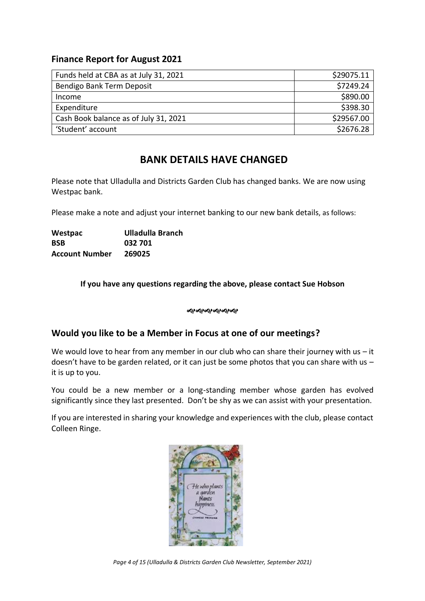## **Finance Report for August 2021**

| Funds held at CBA as at July 31, 2021 | \$29075.11 |
|---------------------------------------|------------|
| Bendigo Bank Term Deposit             | \$7249.24  |
| Income                                | \$890.00   |
| Expenditure                           | \$398.30   |
| Cash Book balance as of July 31, 2021 | \$29567.00 |
| 'Student' account                     | \$2676.28  |

# **BANK DETAILS HAVE CHANGED**

Please note that Ulladulla and Districts Garden Club has changed banks. We are now using Westpac bank.

Please make a note and adjust your internet banking to our new bank details, as follows:

| Westpac               | Ulladulla Branch |
|-----------------------|------------------|
| <b>BSB</b>            | 032 701          |
| <b>Account Number</b> | 269025           |

## **If you have any questions regarding the above, please contact Sue Hobson**

#### ન્સન્સન્સન્સન્સ

## **Would you like to be a Member in Focus at one of our meetings?**

We would love to hear from any member in our club who can share their journey with us  $-$  it doesn't have to be garden related, or it can just be some photos that you can share with us – it is up to you.

You could be a new member or a long-standing member whose garden has evolved significantly since they last presented. Don't be shy as we can assist with your presentation.

If you are interested in sharing your knowledge and experiences with the club, please contact Colleen Ringe.



*Page 4 of 15 (Ulladulla & Districts Garden Club Newsletter, September 2021)*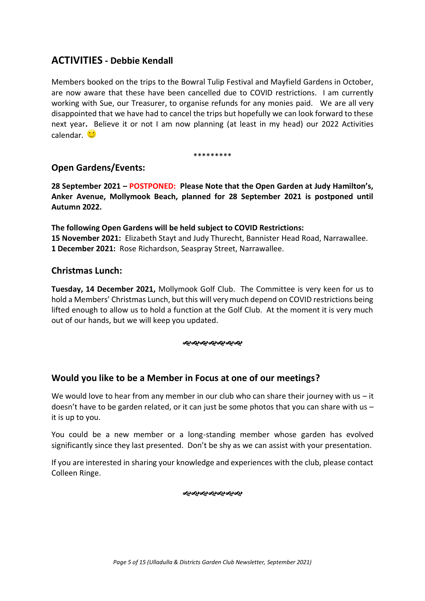## **ACTIVITIES - Debbie Kendall**

Members booked on the trips to the Bowral Tulip Festival and Mayfield Gardens in October, are now aware that these have been cancelled due to COVID restrictions. I am currently working with Sue, our Treasurer, to organise refunds for any monies paid. We are all very disappointed that we have had to cancel the trips but hopefully we can look forward to these next year**.** Believe it or not I am now planning (at least in my head) our 2022 Activities calendar.

#### \*\*\*\*\*\*\*\*\*

## **Open Gardens/Events:**

**28 September 2021 – POSTPONED: Please Note that the Open Garden at Judy Hamilton's, Anker Avenue, Mollymook Beach, planned for 28 September 2021 is postponed until Autumn 2022.**

**The following Open Gardens will be held subject to COVID Restrictions: 15 November 2021:** Elizabeth Stayt and Judy Thurecht, Bannister Head Road, Narrawallee. **1 December 2021:** Rose Richardson, Seaspray Street, Narrawallee.

## **Christmas Lunch:**

**Tuesday, 14 December 2021,** Mollymook Golf Club. The Committee is very keen for us to hold a Members' Christmas Lunch, but this will very much depend on COVID restrictions being lifted enough to allow us to hold a function at the Golf Club. At the moment it is very much out of our hands, but we will keep you updated.

#### ન્ઠાન્ઠાન્ઠાન્ઠાન્ઠાન્ઠા

## **Would you like to be a Member in Focus at one of our meetings?**

We would love to hear from any member in our club who can share their journey with us  $-$  it doesn't have to be garden related, or it can just be some photos that you can share with us – it is up to you.

You could be a new member or a long-standing member whose garden has evolved significantly since they last presented. Don't be shy as we can assist with your presentation.

If you are interested in sharing your knowledge and experiences with the club, please contact Colleen Ringe.

ઌ૰ઌ૰ઌ૰ઌ૰ઌ૰ઌ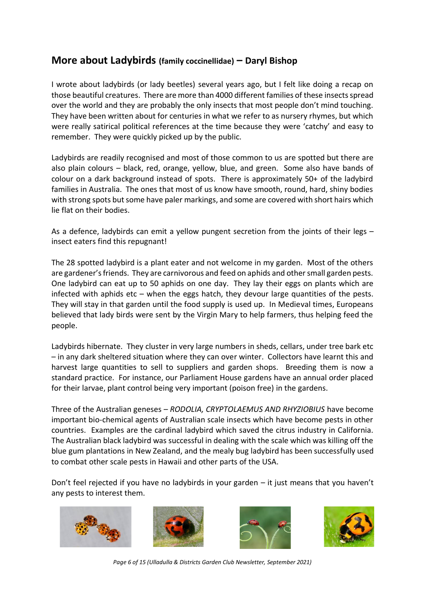# **More about Ladybirds (family coccinellidae) – Daryl Bishop**

I wrote about ladybirds (or lady beetles) several years ago, but I felt like doing a recap on those beautiful creatures. There are more than 4000 different families of these insects spread over the world and they are probably the only insects that most people don't mind touching. They have been written about for centuries in what we refer to as nursery rhymes, but which were really satirical political references at the time because they were 'catchy' and easy to remember. They were quickly picked up by the public.

Ladybirds are readily recognised and most of those common to us are spotted but there are also plain colours – black, red, orange, yellow, blue, and green. Some also have bands of colour on a dark background instead of spots. There is approximately 50+ of the ladybird families in Australia. The ones that most of us know have smooth, round, hard, shiny bodies with strong spots but some have paler markings, and some are covered with short hairs which lie flat on their bodies.

As a defence, ladybirds can emit a yellow pungent secretion from the joints of their legs – insect eaters find this repugnant!

The 28 spotted ladybird is a plant eater and not welcome in my garden. Most of the others are gardener's friends. They are carnivorous and feed on aphids and other small garden pests. One ladybird can eat up to 50 aphids on one day. They lay their eggs on plants which are infected with aphids etc – when the eggs hatch, they devour large quantities of the pests. They will stay in that garden until the food supply is used up. In Medieval times, Europeans believed that lady birds were sent by the Virgin Mary to help farmers, thus helping feed the people.

Ladybirds hibernate. They cluster in very large numbers in sheds, cellars, under tree bark etc – in any dark sheltered situation where they can over winter. Collectors have learnt this and harvest large quantities to sell to suppliers and garden shops. Breeding them is now a standard practice. For instance, our Parliament House gardens have an annual order placed for their larvae, plant control being very important (poison free) in the gardens.

Three of the Australian geneses – *RODOLIA, CRYPTOLAEMUS AND RHYZIOBIUS* have become important bio-chemical agents of Australian scale insects which have become pests in other countries. Examples are the cardinal ladybird which saved the citrus industry in California. The Australian black ladybird was successful in dealing with the scale which was killing off the blue gum plantations in New Zealand, and the mealy bug ladybird has been successfully used to combat other scale pests in Hawaii and other parts of the USA.

Don't feel rejected if you have no ladybirds in your garden – it just means that you haven't any pests to interest them.









*Page 6 of 15 (Ulladulla & Districts Garden Club Newsletter, September 2021)*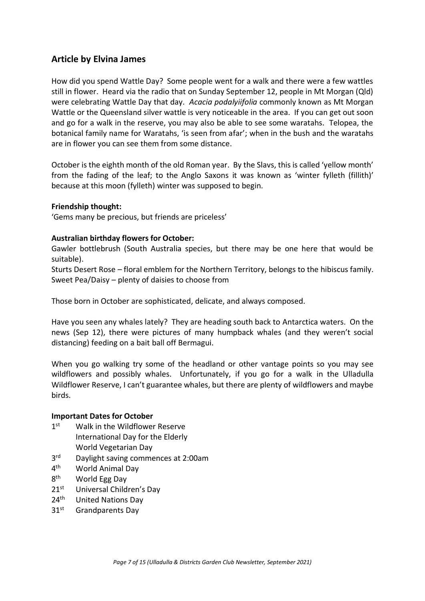## **Article by Elvina James**

How did you spend Wattle Day? Some people went for a walk and there were a few wattles still in flower. Heard via the radio that on Sunday September 12, people in Mt Morgan (Qld) were celebrating Wattle Day that day. *Acacia podalyiifolia* commonly known as Mt Morgan Wattle or the Queensland silver wattle is very noticeable in the area. If you can get out soon and go for a walk in the reserve, you may also be able to see some waratahs. Telopea, the botanical family name for Waratahs, 'is seen from afar'; when in the bush and the waratahs are in flower you can see them from some distance.

October is the eighth month of the old Roman year. By the Slavs, this is called 'yellow month' from the fading of the leaf; to the Anglo Saxons it was known as 'winter fylleth (fillith)' because at this moon (fylleth) winter was supposed to begin.

#### **Friendship thought:**

'Gems many be precious, but friends are priceless'

#### **Australian birthday flowers for October:**

Gawler bottlebrush (South Australia species, but there may be one here that would be suitable).

Sturts Desert Rose – floral emblem for the Northern Territory, belongs to the hibiscus family. Sweet Pea/Daisy – plenty of daisies to choose from

Those born in October are sophisticated, delicate, and always composed.

Have you seen any whales lately? They are heading south back to Antarctica waters. On the news (Sep 12), there were pictures of many humpback whales (and they weren't social distancing) feeding on a bait ball off Bermagui.

When you go walking try some of the headland or other vantage points so you may see wildflowers and possibly whales. Unfortunately, if you go for a walk in the Ulladulla Wildflower Reserve, I can't guarantee whales, but there are plenty of wildflowers and maybe birds.

#### **Important Dates for October**

- $1<sup>st</sup>$ Walk in the Wildflower Reserve International Day for the Elderly World Vegetarian Day
- $3<sup>rd</sup>$ Daylight saving commences at 2:00am
- $4<sup>th</sup>$ World Animal Day
- 8<sup>th</sup> World Egg Day
- 21<sup>st</sup> Universal Children's Day
- 24<sup>th</sup> United Nations Day
- 31<sup>st</sup> Grandparents Day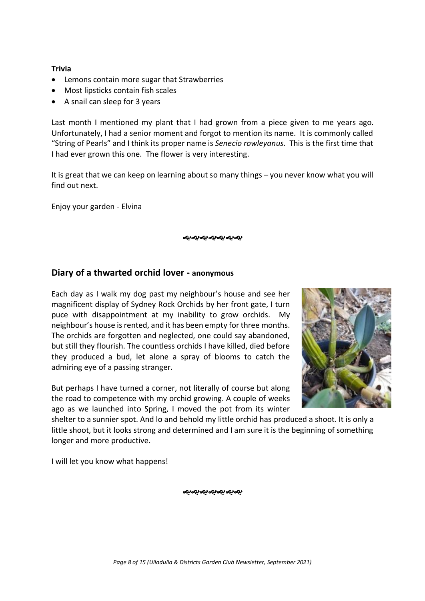#### **Trivia**

- Lemons contain more sugar that Strawberries
- Most lipsticks contain fish scales
- A snail can sleep for 3 years

Last month I mentioned my plant that I had grown from a piece given to me years ago. Unfortunately, I had a senior moment and forgot to mention its name. It is commonly called "String of Pearls" and I think its proper name is *Senecio rowleyanus.* This is the first time that I had ever grown this one. The flower is very interesting.

It is great that we can keep on learning about so many things – you never know what you will find out next.

Enjoy your garden - Elvina

જાજાજાજાજાજાજા

## **Diary of a thwarted orchid lover - anonymous**

Each day as I walk my dog past my neighbour's house and see her magnificent display of Sydney Rock Orchids by her front gate, I turn puce with disappointment at my inability to grow orchids. My neighbour's house is rented, and it has been empty for three months. The orchids are forgotten and neglected, one could say abandoned, but still they flourish. The countless orchids I have killed, died before they produced a bud, let alone a spray of blooms to catch the admiring eye of a passing stranger.

But perhaps I have turned a corner, not literally of course but along the road to competence with my orchid growing. A couple of weeks ago as we launched into Spring, I moved the pot from its winter

shelter to a sunnier spot. And lo and behold my little orchid has produced a shoot. It is only a little shoot, but it looks strong and determined and I am sure it is the beginning of something longer and more productive.

I will let you know what happens!

ન્ઠાન્ઠાન્ઠાન્ઠાન્ઠાન્ઠા

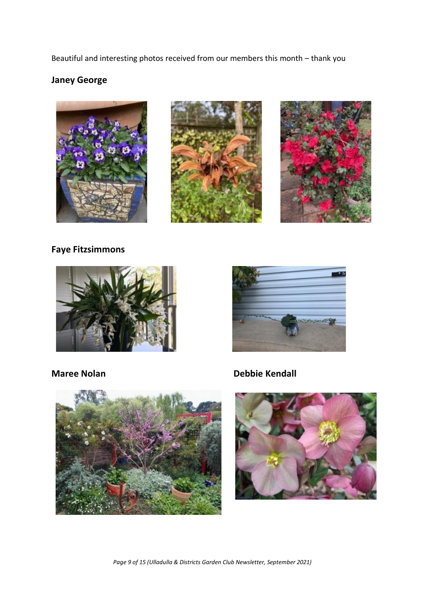Beautiful and interesting photos received from our members this month – thank you

# **Janey George**







**Faye Fitzsimmons**





**Maree Nolan Debbie Kendall**



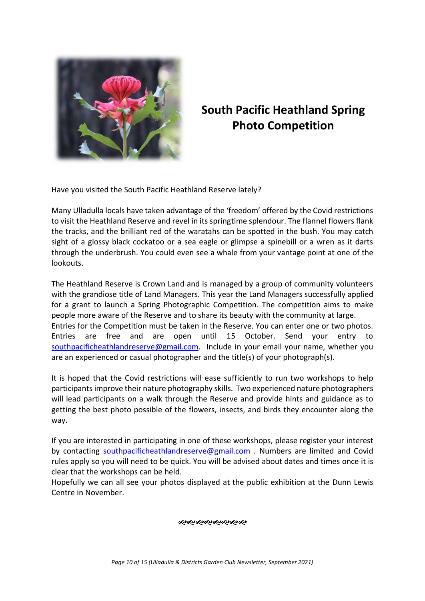

# **South Pacific Heathland Spring Photo Competition**

Have you visited the South Pacific Heathland Reserve lately?

Many Ulladulla locals have taken advantage of the 'freedom' offered by the Covid restrictions to visit the Heathland Reserve and revel in its springtime splendour. The flannel flowers flank the tracks, and the brilliant red of the waratahs can be spotted in the bush. You may catch sight of a glossy black cockatoo or a sea eagle or glimpse a spinebill or a wren as it darts through the underbrush. You could even see a whale from your vantage point at one of the lookouts.

The Heathland Reserve is Crown Land and is managed by a group of community volunteers with the grandiose title of Land Managers. This year the Land Managers successfully applied for a grant to launch a Spring Photographic Competition. The competition aims to make people more aware of the Reserve and to share its beauty with the community at large. Entries for the Competition must be taken in the Reserve. You can enter one or two photos. Entries are free and are open until 15 October. Send your entry to [southpacificheathlandreserve@gmail.com.](mailto:southpacificheathlandreserve@gmail.com.P) Include in your email your name, whether you are an experienced or casual photographer and the title(s) of your photograph(s).

It is hoped that the Covid restrictions will ease sufficiently to run two workshops to help participants improve their nature photography skills. Two experienced nature photographers will lead participants on a walk through the Reserve and provide hints and guidance as to getting the best photo possible of the flowers, insects, and birds they encounter along the way.

If you are interested in participating in one of these workshops, please register your interest by contacting [southpacificheathlandreserve@gmail.com](mailto:southpacificheathlandreserve@gmail.com.P) . Numbers are limited and Covid rules apply so you will need to be quick. You will be advised about dates and times once it is clear that the workshops can be held.

Hopefully we can all see your photos displayed at the public exhibition at the Dunn Lewis Centre in November.

ઌ૰ૡ૰ૡ૰ૡ૰ૡ૰ૡ૰ૡ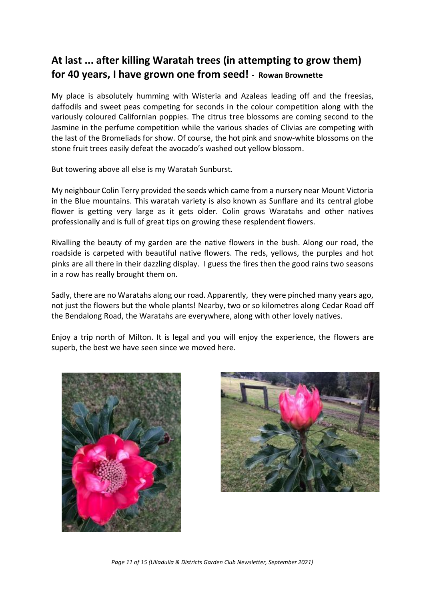# **At last ... after killing Waratah trees (in attempting to grow them) for 40 years, I have grown one from seed! - Rowan Brownette**

My place is absolutely humming with Wisteria and Azaleas leading off and the freesias, daffodils and sweet peas competing for seconds in the colour competition along with the variously coloured Californian poppies. The citrus tree blossoms are coming second to the Jasmine in the perfume competition while the various shades of Clivias are competing with the last of the Bromeliads for show. Of course, the hot pink and snow-white blossoms on the stone fruit trees easily defeat the avocado's washed out yellow blossom.

But towering above all else is my Waratah Sunburst.

My neighbour Colin Terry provided the seeds which came from a nursery near Mount Victoria in the Blue mountains. This waratah variety is also known as Sunflare and its central globe flower is getting very large as it gets older. Colin grows Waratahs and other natives professionally and is full of great tips on growing these resplendent flowers.

Rivalling the beauty of my garden are the native flowers in the bush. Along our road, the roadside is carpeted with beautiful native flowers. The reds, yellows, the purples and hot pinks are all there in their dazzling display. I guess the fires then the good rains two seasons in a row has really brought them on.

Sadly, there are no Waratahs along our road. Apparently, they were pinched many years ago, not just the flowers but the whole plants! Nearby, two or so kilometres along Cedar Road off the Bendalong Road, the Waratahs are everywhere, along with other lovely natives.

Enjoy a trip north of Milton. It is legal and you will enjoy the experience, the flowers are superb, the best we have seen since we moved here.





*Page 11 of 15 (Ulladulla & Districts Garden Club Newsletter, September 2021)*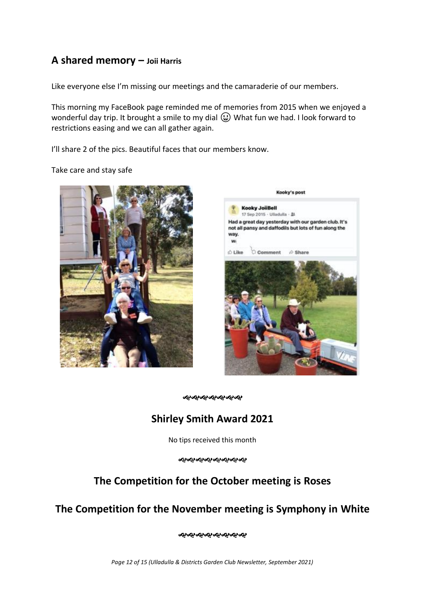# **A shared memory – Joii Harris**

Like everyone else I'm missing our meetings and the camaraderie of our members.

This morning my FaceBook page reminded me of memories from 2015 when we enjoyed a wonderful day trip. It brought a smile to my dial  $\bigoplus$  What fun we had. I look forward to restrictions easing and we can all gather again.

I'll share 2 of the pics. Beautiful faces that our members know.

Take care and stay safe





જાજાજાજાજાજાજા

# **Shirley Smith Award 2021**

No tips received this month

ન્કન્કન્કન્કન્કન્કન્કન્ક

# **The Competition for the October meeting is Roses**

# **The Competition for the November meeting is Symphony in White**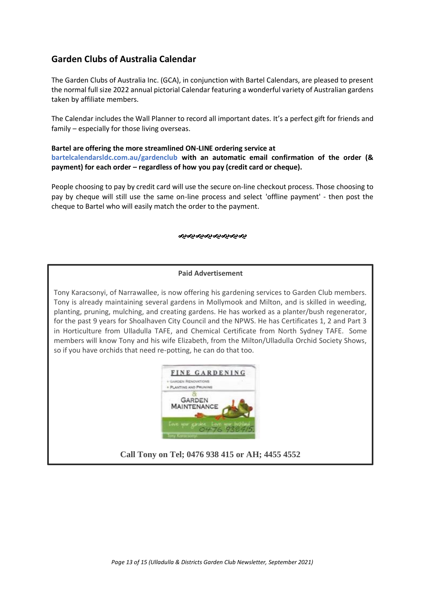## **Garden Clubs of Australia Calendar**

The Garden Clubs of Australia Inc. (GCA), in conjunction with Bartel Calendars, are pleased to present the normal full size 2022 annual pictorial Calendar featuring a wonderful variety of Australian gardens taken by affiliate members.

The Calendar includes the Wall Planner to record all important dates. It's a perfect gift for friends and family – especially for those living overseas.

#### **Bartel are offering the more streamlined ON-LINE ordering service at**

**bartelcalendarsldc.com.au/gardenclub with an automatic email confirmation of the order (& payment) for each order – regardless of how you pay (credit card or cheque).** 

People choosing to pay by credit card will use the secure on-line checkout process. Those choosing to pay by cheque will still use the same on-line process and select 'offline payment' - then post the cheque to Bartel who will easily match the order to the payment.

#### જાજાજાજાજાજાજાજ

#### **Paid Advertisement**

Tony Karacsonyi, of Narrawallee, is now offering his gardening services to Garden Club members. Tony is already maintaining several gardens in Mollymook and Milton, and is skilled in weeding, planting, pruning, mulching, and creating gardens. He has worked as a planter/bush regenerator, for the past 9 years for Shoalhaven City Council and the NPWS. He has Certificates 1, 2 and Part 3 in Horticulture from Ulladulla TAFE, and Chemical Certificate from North Sydney TAFE. Some members will know Tony and his wife Elizabeth, from the Milton/Ulladulla Orchid Society Shows, so if you have orchids that need re-potting, he can do that too.



**Call Tony on Tel; 0476 938 415 or AH; 4455 4552**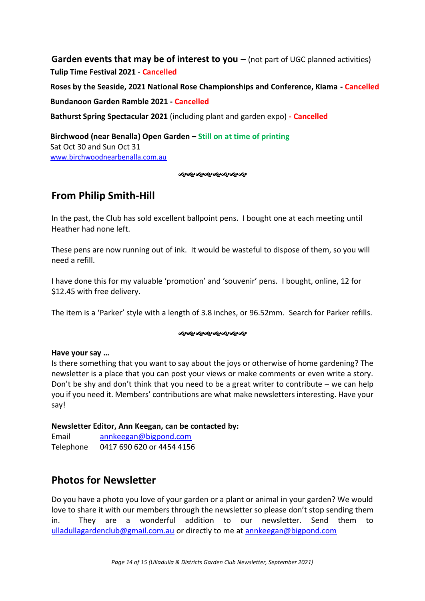**Garden events that may be of interest to you** – (not part of UGC planned activities) **Tulip Time Festival 2021** - **Cancelled**

**Roses by the Seaside, 2021 National Rose Championships and Conference, Kiama - Cancelled**

## **Bundanoon Garden Ramble 2021 - Cancelled**

**Bathurst Spring Spectacular 2021** (including plant and garden expo) **- Cancelled**

**Birchwood (near Benalla) Open Garden – Still on at time of printing** Sat Oct 30 and Sun Oct 31 [www.birchwoodnearbenalla.com.au](http://www.birchwoodnearbenalla.com.au/)

#### જાજાજાજાજાજાજાજ

# **From Philip Smith-Hill**

In the past, the Club has sold excellent ballpoint pens. I bought one at each meeting until Heather had none left.

These pens are now running out of ink. It would be wasteful to dispose of them, so you will need a refill.

I have done this for my valuable 'promotion' and 'souvenir' pens. I bought, online, 12 for \$12.45 with free delivery.

The item is a 'Parker' style with a length of 3.8 inches, or 96.52mm. Search for Parker refills.

#### ൞൞൞൞൞൞൞

#### **Have your say …**

Is there something that you want to say about the joys or otherwise of home gardening? The newsletter is a place that you can post your views or make comments or even write a story. Don't be shy and don't think that you need to be a great writer to contribute – we can help you if you need it. Members' contributions are what make newsletters interesting. Have your say!

#### **Newsletter Editor, Ann Keegan, can be contacted by:**

Email [annkeegan@bigpond.com](mailto:annkeegan@bigpond.com) Telephone 0417 690 620 or 4454 4156

# **Photos for Newsletter**

Do you have a photo you love of your garden or a plant or animal in your garden? We would love to share it with our members through the newsletter so please don't stop sending them in. They are a wonderful addition to our newsletter. Send them to [ulladullagardenclub@gmail.com.au](mailto:ulladullagardenclub@gmail.com.au) or directly to me at [annkeegan@bigpond.com](mailto:annkeegan@bigpond.com)